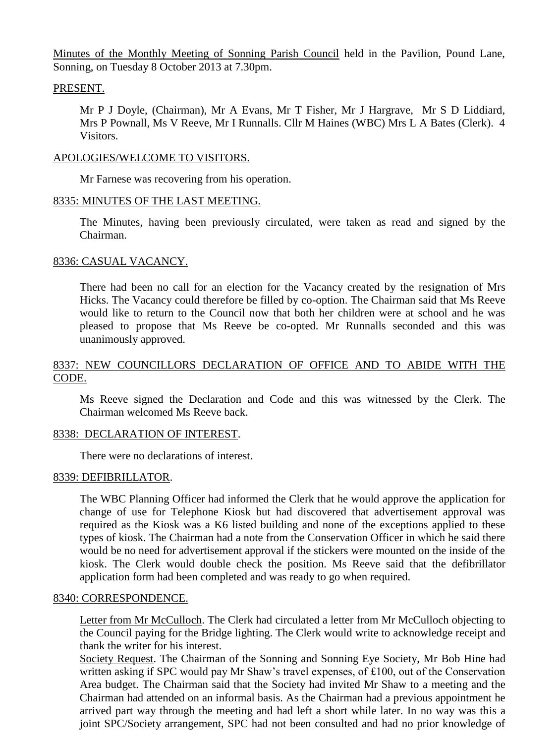Minutes of the Monthly Meeting of Sonning Parish Council held in the Pavilion, Pound Lane, Sonning, on Tuesday 8 October 2013 at 7.30pm.

## PRESENT.

Mr P J Doyle, (Chairman), Mr A Evans, Mr T Fisher, Mr J Hargrave, Mr S D Liddiard, Mrs P Pownall, Ms V Reeve, Mr I Runnalls. Cllr M Haines (WBC) Mrs L A Bates (Clerk). 4 Visitors.

## APOLOGIES/WELCOME TO VISITORS.

Mr Farnese was recovering from his operation.

## 8335: MINUTES OF THE LAST MEETING.

The Minutes, having been previously circulated, were taken as read and signed by the Chairman.

## 8336: CASUAL VACANCY.

There had been no call for an election for the Vacancy created by the resignation of Mrs Hicks. The Vacancy could therefore be filled by co-option. The Chairman said that Ms Reeve would like to return to the Council now that both her children were at school and he was pleased to propose that Ms Reeve be co-opted. Mr Runnalls seconded and this was unanimously approved.

# 8337: NEW COUNCILLORS DECLARATION OF OFFICE AND TO ABIDE WITH THE CODE.

Ms Reeve signed the Declaration and Code and this was witnessed by the Clerk. The Chairman welcomed Ms Reeve back.

# 8338: DECLARATION OF INTEREST.

There were no declarations of interest.

#### 8339: DEFIBRILLATOR.

The WBC Planning Officer had informed the Clerk that he would approve the application for change of use for Telephone Kiosk but had discovered that advertisement approval was required as the Kiosk was a K6 listed building and none of the exceptions applied to these types of kiosk. The Chairman had a note from the Conservation Officer in which he said there would be no need for advertisement approval if the stickers were mounted on the inside of the kiosk. The Clerk would double check the position. Ms Reeve said that the defibrillator application form had been completed and was ready to go when required.

#### 8340: CORRESPONDENCE.

Letter from Mr McCulloch. The Clerk had circulated a letter from Mr McCulloch objecting to the Council paying for the Bridge lighting. The Clerk would write to acknowledge receipt and thank the writer for his interest.

Society Request. The Chairman of the Sonning and Sonning Eye Society, Mr Bob Hine had written asking if SPC would pay Mr Shaw's travel expenses, of £100, out of the Conservation Area budget. The Chairman said that the Society had invited Mr Shaw to a meeting and the Chairman had attended on an informal basis. As the Chairman had a previous appointment he arrived part way through the meeting and had left a short while later. In no way was this a joint SPC/Society arrangement, SPC had not been consulted and had no prior knowledge of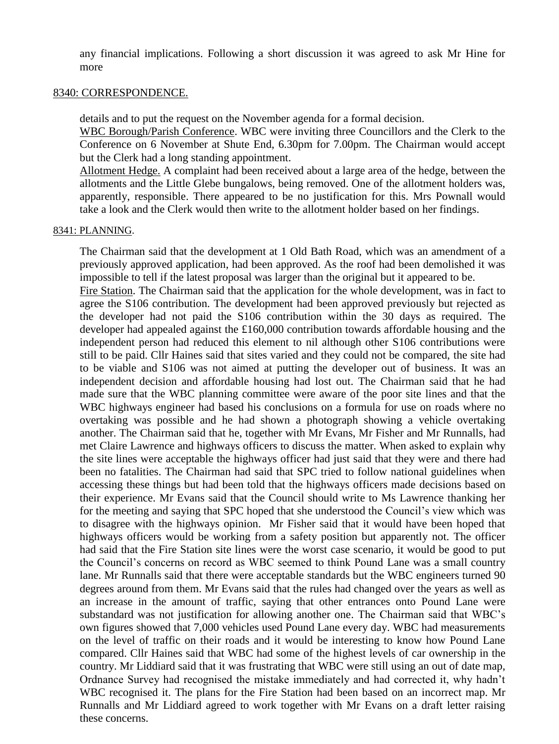any financial implications. Following a short discussion it was agreed to ask Mr Hine for more

#### 8340: CORRESPONDENCE.

details and to put the request on the November agenda for a formal decision.

WBC Borough/Parish Conference. WBC were inviting three Councillors and the Clerk to the Conference on 6 November at Shute End, 6.30pm for 7.00pm. The Chairman would accept but the Clerk had a long standing appointment.

Allotment Hedge. A complaint had been received about a large area of the hedge, between the allotments and the Little Glebe bungalows, being removed. One of the allotment holders was, apparently, responsible. There appeared to be no justification for this. Mrs Pownall would take a look and the Clerk would then write to the allotment holder based on her findings.

#### 8341: PLANNING.

The Chairman said that the development at 1 Old Bath Road, which was an amendment of a previously approved application, had been approved. As the roof had been demolished it was impossible to tell if the latest proposal was larger than the original but it appeared to be.

Fire Station. The Chairman said that the application for the whole development, was in fact to agree the S106 contribution. The development had been approved previously but rejected as the developer had not paid the S106 contribution within the 30 days as required. The developer had appealed against the £160,000 contribution towards affordable housing and the independent person had reduced this element to nil although other S106 contributions were still to be paid. Cllr Haines said that sites varied and they could not be compared, the site had to be viable and S106 was not aimed at putting the developer out of business. It was an independent decision and affordable housing had lost out. The Chairman said that he had made sure that the WBC planning committee were aware of the poor site lines and that the WBC highways engineer had based his conclusions on a formula for use on roads where no overtaking was possible and he had shown a photograph showing a vehicle overtaking another. The Chairman said that he, together with Mr Evans, Mr Fisher and Mr Runnalls, had met Claire Lawrence and highways officers to discuss the matter. When asked to explain why the site lines were acceptable the highways officer had just said that they were and there had been no fatalities. The Chairman had said that SPC tried to follow national guidelines when accessing these things but had been told that the highways officers made decisions based on their experience. Mr Evans said that the Council should write to Ms Lawrence thanking her for the meeting and saying that SPC hoped that she understood the Council's view which was to disagree with the highways opinion. Mr Fisher said that it would have been hoped that highways officers would be working from a safety position but apparently not. The officer had said that the Fire Station site lines were the worst case scenario, it would be good to put the Council's concerns on record as WBC seemed to think Pound Lane was a small country lane. Mr Runnalls said that there were acceptable standards but the WBC engineers turned 90 degrees around from them. Mr Evans said that the rules had changed over the years as well as an increase in the amount of traffic, saying that other entrances onto Pound Lane were substandard was not justification for allowing another one. The Chairman said that WBC's own figures showed that 7,000 vehicles used Pound Lane every day. WBC had measurements on the level of traffic on their roads and it would be interesting to know how Pound Lane compared. Cllr Haines said that WBC had some of the highest levels of car ownership in the country. Mr Liddiard said that it was frustrating that WBC were still using an out of date map, Ordnance Survey had recognised the mistake immediately and had corrected it, why hadn't WBC recognised it. The plans for the Fire Station had been based on an incorrect map. Mr Runnalls and Mr Liddiard agreed to work together with Mr Evans on a draft letter raising these concerns.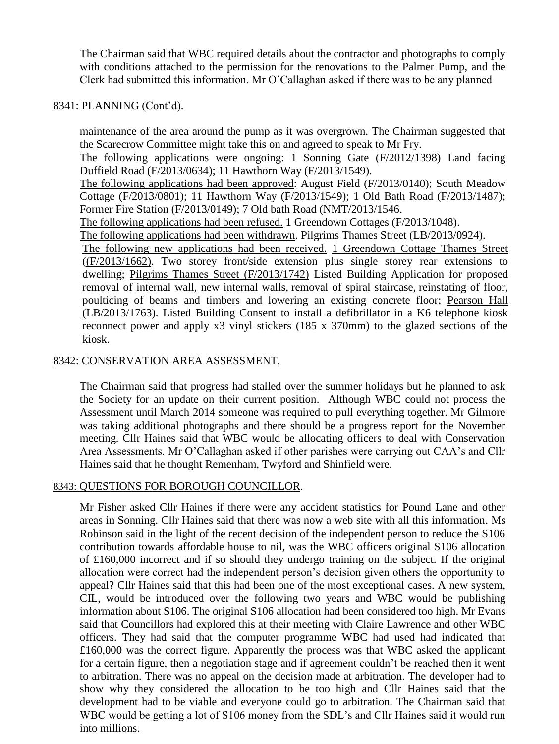The Chairman said that WBC required details about the contractor and photographs to comply with conditions attached to the permission for the renovations to the Palmer Pump, and the Clerk had submitted this information. Mr O'Callaghan asked if there was to be any planned

# 8341: PLANNING (Cont'd).

maintenance of the area around the pump as it was overgrown. The Chairman suggested that the Scarecrow Committee might take this on and agreed to speak to Mr Fry. The following applications were ongoing: 1 Sonning Gate (F/2012/1398) Land facing Duffield Road (F/2013/0634); 11 Hawthorn Way (F/2013/1549). The following applications had been approved: August Field (F/2013/0140); South Meadow Cottage (F/2013/0801); 11 Hawthorn Way (F/2013/1549); 1 Old Bath Road (F/2013/1487); Former Fire Station (F/2013/0149); 7 Old bath Road (NMT/2013/1546. The following applications had been refused. 1 Greendown Cottages (F/2013/1048). The following applications had been withdrawn. Pilgrims Thames Street (LB/2013/0924). The following new applications had been received. 1 Greendown Cottage Thames Street ((F/2013/1662). Two storey front/side extension plus single storey rear extensions to dwelling; Pilgrims Thames Street (F/2013/1742) Listed Building Application for proposed removal of internal wall, new internal walls, removal of spiral staircase, reinstating of floor, poulticing of beams and timbers and lowering an existing concrete floor; Pearson Hall (LB/2013/1763). Listed Building Consent to install a defibrillator in a K6 telephone kiosk reconnect power and apply x3 vinyl stickers (185 x 370mm) to the glazed sections of the kiosk.

## 8342: CONSERVATION AREA ASSESSMENT.

The Chairman said that progress had stalled over the summer holidays but he planned to ask the Society for an update on their current position. Although WBC could not process the Assessment until March 2014 someone was required to pull everything together. Mr Gilmore was taking additional photographs and there should be a progress report for the November meeting. Cllr Haines said that WBC would be allocating officers to deal with Conservation Area Assessments. Mr O'Callaghan asked if other parishes were carrying out CAA's and Cllr Haines said that he thought Remenham, Twyford and Shinfield were.

# 8343: QUESTIONS FOR BOROUGH COUNCILLOR.

Mr Fisher asked Cllr Haines if there were any accident statistics for Pound Lane and other areas in Sonning. Cllr Haines said that there was now a web site with all this information. Ms Robinson said in the light of the recent decision of the independent person to reduce the S106 contribution towards affordable house to nil, was the WBC officers original S106 allocation of £160,000 incorrect and if so should they undergo training on the subject. If the original allocation were correct had the independent person's decision given others the opportunity to appeal? Cllr Haines said that this had been one of the most exceptional cases. A new system, CIL, would be introduced over the following two years and WBC would be publishing information about S106. The original S106 allocation had been considered too high. Mr Evans said that Councillors had explored this at their meeting with Claire Lawrence and other WBC officers. They had said that the computer programme WBC had used had indicated that £160,000 was the correct figure. Apparently the process was that WBC asked the applicant for a certain figure, then a negotiation stage and if agreement couldn't be reached then it went to arbitration. There was no appeal on the decision made at arbitration. The developer had to show why they considered the allocation to be too high and Cllr Haines said that the development had to be viable and everyone could go to arbitration. The Chairman said that WBC would be getting a lot of S106 money from the SDL's and Cllr Haines said it would run into millions.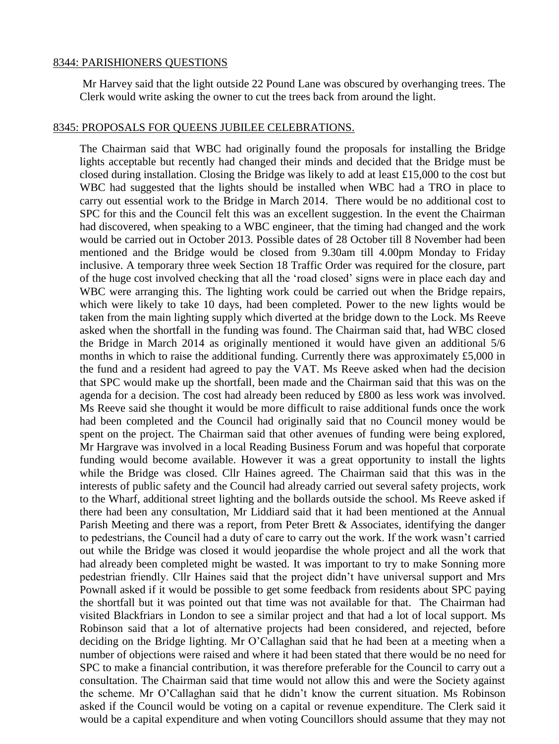#### 8344: PARISHIONERS QUESTIONS

Mr Harvey said that the light outside 22 Pound Lane was obscured by overhanging trees. The Clerk would write asking the owner to cut the trees back from around the light.

#### 8345: PROPOSALS FOR QUEENS JUBILEE CELEBRATIONS.

The Chairman said that WBC had originally found the proposals for installing the Bridge lights acceptable but recently had changed their minds and decided that the Bridge must be closed during installation. Closing the Bridge was likely to add at least £15,000 to the cost but WBC had suggested that the lights should be installed when WBC had a TRO in place to carry out essential work to the Bridge in March 2014. There would be no additional cost to SPC for this and the Council felt this was an excellent suggestion. In the event the Chairman had discovered, when speaking to a WBC engineer, that the timing had changed and the work would be carried out in October 2013. Possible dates of 28 October till 8 November had been mentioned and the Bridge would be closed from 9.30am till 4.00pm Monday to Friday inclusive. A temporary three week Section 18 Traffic Order was required for the closure, part of the huge cost involved checking that all the 'road closed' signs were in place each day and WBC were arranging this. The lighting work could be carried out when the Bridge repairs, which were likely to take 10 days, had been completed. Power to the new lights would be taken from the main lighting supply which diverted at the bridge down to the Lock. Ms Reeve asked when the shortfall in the funding was found. The Chairman said that, had WBC closed the Bridge in March 2014 as originally mentioned it would have given an additional 5/6 months in which to raise the additional funding. Currently there was approximately £5,000 in the fund and a resident had agreed to pay the VAT. Ms Reeve asked when had the decision that SPC would make up the shortfall, been made and the Chairman said that this was on the agenda for a decision. The cost had already been reduced by £800 as less work was involved. Ms Reeve said she thought it would be more difficult to raise additional funds once the work had been completed and the Council had originally said that no Council money would be spent on the project. The Chairman said that other avenues of funding were being explored, Mr Hargrave was involved in a local Reading Business Forum and was hopeful that corporate funding would become available. However it was a great opportunity to install the lights while the Bridge was closed. Cllr Haines agreed. The Chairman said that this was in the interests of public safety and the Council had already carried out several safety projects, work to the Wharf, additional street lighting and the bollards outside the school. Ms Reeve asked if there had been any consultation, Mr Liddiard said that it had been mentioned at the Annual Parish Meeting and there was a report, from Peter Brett & Associates, identifying the danger to pedestrians, the Council had a duty of care to carry out the work. If the work wasn't carried out while the Bridge was closed it would jeopardise the whole project and all the work that had already been completed might be wasted. It was important to try to make Sonning more pedestrian friendly. Cllr Haines said that the project didn't have universal support and Mrs Pownall asked if it would be possible to get some feedback from residents about SPC paying the shortfall but it was pointed out that time was not available for that. The Chairman had visited Blackfriars in London to see a similar project and that had a lot of local support. Ms Robinson said that a lot of alternative projects had been considered, and rejected, before deciding on the Bridge lighting. Mr O'Callaghan said that he had been at a meeting when a number of objections were raised and where it had been stated that there would be no need for SPC to make a financial contribution, it was therefore preferable for the Council to carry out a consultation. The Chairman said that time would not allow this and were the Society against the scheme. Mr O'Callaghan said that he didn't know the current situation. Ms Robinson asked if the Council would be voting on a capital or revenue expenditure. The Clerk said it would be a capital expenditure and when voting Councillors should assume that they may not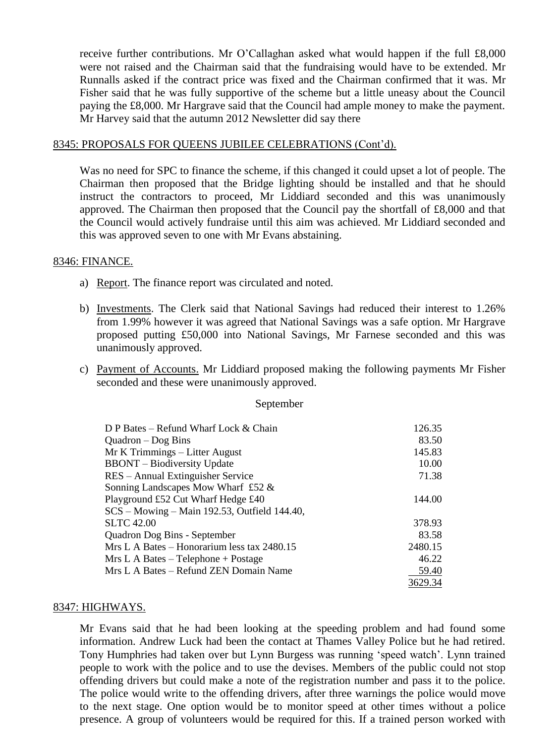receive further contributions. Mr O'Callaghan asked what would happen if the full £8,000 were not raised and the Chairman said that the fundraising would have to be extended. Mr Runnalls asked if the contract price was fixed and the Chairman confirmed that it was. Mr Fisher said that he was fully supportive of the scheme but a little uneasy about the Council paying the £8,000. Mr Hargrave said that the Council had ample money to make the payment. Mr Harvey said that the autumn 2012 Newsletter did say there

### 8345: PROPOSALS FOR QUEENS JUBILEE CELEBRATIONS (Cont'd).

Was no need for SPC to finance the scheme, if this changed it could upset a lot of people. The Chairman then proposed that the Bridge lighting should be installed and that he should instruct the contractors to proceed, Mr Liddiard seconded and this was unanimously approved. The Chairman then proposed that the Council pay the shortfall of £8,000 and that the Council would actively fundraise until this aim was achieved. Mr Liddiard seconded and this was approved seven to one with Mr Evans abstaining.

# 8346: FINANCE.

- a) Report. The finance report was circulated and noted.
- b) Investments. The Clerk said that National Savings had reduced their interest to 1.26% from 1.99% however it was agreed that National Savings was a safe option. Mr Hargrave proposed putting £50,000 into National Savings, Mr Farnese seconded and this was unanimously approved.
- c) Payment of Accounts. Mr Liddiard proposed making the following payments Mr Fisher seconded and these were unanimously approved.

#### September

| D P Bates – Refund Wharf Lock & Chain        | 126.35  |
|----------------------------------------------|---------|
| $Quadron - Dog Bins$                         | 83.50   |
| Mr K Trimmings – Litter August               | 145.83  |
| <b>BBONT</b> – Biodiversity Update           | 10.00   |
| RES – Annual Extinguisher Service            | 71.38   |
| Sonning Landscapes Mow Wharf £52 $\&$        |         |
| Playground £52 Cut Wharf Hedge £40           | 144.00  |
| SCS - Mowing - Main 192.53, Outfield 144.40, |         |
| <b>SLTC</b> 42.00                            | 378.93  |
| Quadron Dog Bins - September                 | 83.58   |
| Mrs L A Bates – Honorarium less tax 2480.15  | 2480.15 |
| $Mrs$ L A Bates – Telephone + Postage        | 46.22   |
| Mrs L A Bates – Refund ZEN Domain Name       | 59.40   |
|                                              | 3629.34 |

#### 8347: HIGHWAYS.

Mr Evans said that he had been looking at the speeding problem and had found some information. Andrew Luck had been the contact at Thames Valley Police but he had retired. Tony Humphries had taken over but Lynn Burgess was running 'speed watch'. Lynn trained people to work with the police and to use the devises. Members of the public could not stop offending drivers but could make a note of the registration number and pass it to the police. The police would write to the offending drivers, after three warnings the police would move to the next stage. One option would be to monitor speed at other times without a police presence. A group of volunteers would be required for this. If a trained person worked with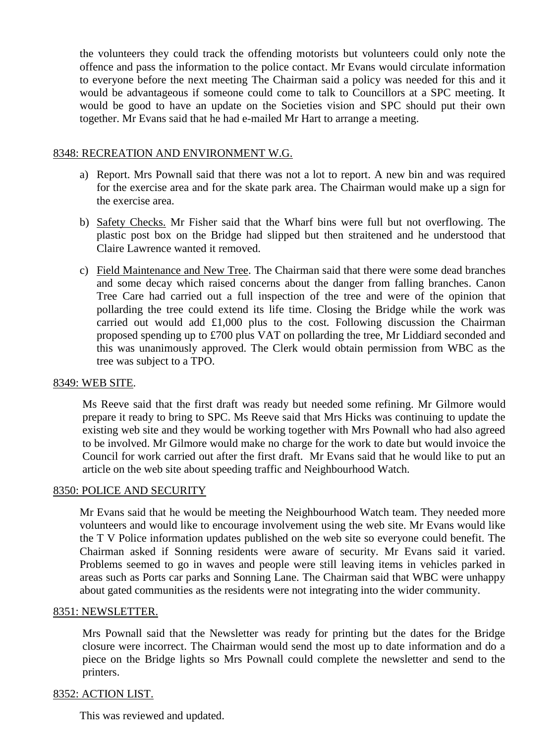the volunteers they could track the offending motorists but volunteers could only note the offence and pass the information to the police contact. Mr Evans would circulate information to everyone before the next meeting The Chairman said a policy was needed for this and it would be advantageous if someone could come to talk to Councillors at a SPC meeting. It would be good to have an update on the Societies vision and SPC should put their own together. Mr Evans said that he had e-mailed Mr Hart to arrange a meeting.

## 8348: RECREATION AND ENVIRONMENT W.G.

- a) Report. Mrs Pownall said that there was not a lot to report. A new bin and was required for the exercise area and for the skate park area. The Chairman would make up a sign for the exercise area.
- b) Safety Checks. Mr Fisher said that the Wharf bins were full but not overflowing. The plastic post box on the Bridge had slipped but then straitened and he understood that Claire Lawrence wanted it removed.
- c) Field Maintenance and New Tree. The Chairman said that there were some dead branches and some decay which raised concerns about the danger from falling branches. Canon Tree Care had carried out a full inspection of the tree and were of the opinion that pollarding the tree could extend its life time. Closing the Bridge while the work was carried out would add £1,000 plus to the cost. Following discussion the Chairman proposed spending up to £700 plus VAT on pollarding the tree, Mr Liddiard seconded and this was unanimously approved. The Clerk would obtain permission from WBC as the tree was subject to a TPO.

#### 8349: WEB SITE.

Ms Reeve said that the first draft was ready but needed some refining. Mr Gilmore would prepare it ready to bring to SPC. Ms Reeve said that Mrs Hicks was continuing to update the existing web site and they would be working together with Mrs Pownall who had also agreed to be involved. Mr Gilmore would make no charge for the work to date but would invoice the Council for work carried out after the first draft. Mr Evans said that he would like to put an article on the web site about speeding traffic and Neighbourhood Watch.

# 8350: POLICE AND SECURITY

Mr Evans said that he would be meeting the Neighbourhood Watch team. They needed more volunteers and would like to encourage involvement using the web site. Mr Evans would like the T V Police information updates published on the web site so everyone could benefit. The Chairman asked if Sonning residents were aware of security. Mr Evans said it varied. Problems seemed to go in waves and people were still leaving items in vehicles parked in areas such as Ports car parks and Sonning Lane. The Chairman said that WBC were unhappy about gated communities as the residents were not integrating into the wider community.

#### 8351: NEWSLETTER.

Mrs Pownall said that the Newsletter was ready for printing but the dates for the Bridge closure were incorrect. The Chairman would send the most up to date information and do a piece on the Bridge lights so Mrs Pownall could complete the newsletter and send to the printers.

#### 8352: ACTION LIST.

This was reviewed and updated.